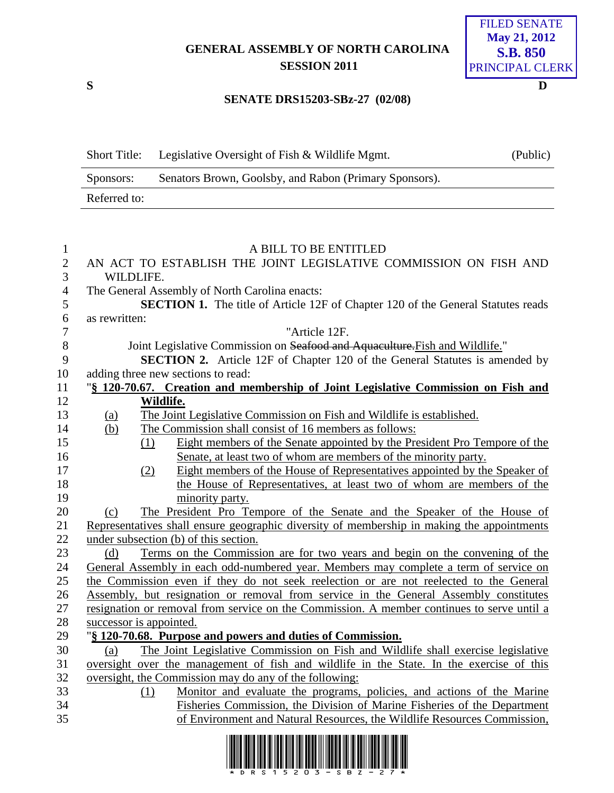# **GENERAL ASSEMBLY OF NORTH CAROLINA SESSION 2011**

**SENATE DRS15203-SBz-27 (02/08)**

FILED SENATE **May 21, 2012 S.B. 850** PRINCIPAL CLERK

# **S D**

| <b>Short Title:</b> | Legislative Oversight of Fish & Wildlife Mgmt.                   | (Public) |
|---------------------|------------------------------------------------------------------|----------|
| Sponsors:           | Senators Brown, Goolsby, and Rabon (Primary Sponsors).           |          |
| Referred to:        |                                                                  |          |
|                     |                                                                  |          |
|                     |                                                                  |          |
|                     | A BILL TO BE ENTITLED                                            |          |
|                     | AN ACT TO ESTABLISH THE JOINT LEGISLATIVE COMMISSION ON FISH AND |          |
| WILDLIFE.           |                                                                  |          |

- The General Assembly of North Carolina enacts: **SECTION 1.** The title of Article 12F of Chapter 120 of the General Statutes reads as rewritten: "Article 12F.
	- 8 Joint Legislative Commission on <del>Seafood and Aquaculture. Fish</del> and Wildlife."<br>9 **SECTION 2.** Article 12F of Chapter 120 of the General Statutes is ame
	- **SECTION 2.** Article 12F of Chapter 120 of the General Statutes is amended by adding three new sections to read:

### "**§ 120-70.67. Creation and membership of Joint Legislative Commission on Fish and Wildlife.**

- (a) The Joint Legislative Commission on Fish and Wildlife is established.
- (b) The Commission shall consist of 16 members as follows:
- (1) Eight members of the Senate appointed by the President Pro Tempore of the Senate, at least two of whom are members of the minority party.
- (2) Eight members of the House of Representatives appointed by the Speaker of 18 the House of Representatives, at least two of whom are members of the minority party.

 (c) The President Pro Tempore of the Senate and the Speaker of the House of Representatives shall ensure geographic diversity of membership in making the appointments under subsection (b) of this section.

 (d) Terms on the Commission are for two years and begin on the convening of the General Assembly in each odd-numbered year. Members may complete a term of service on the Commission even if they do not seek reelection or are not reelected to the General Assembly, but resignation or removal from service in the General Assembly constitutes resignation or removal from service on the Commission. A member continues to serve until a successor is appointed.

## "**§ 120-70.68. Purpose and powers and duties of Commission.**

 (a) The Joint Legislative Commission on Fish and Wildlife shall exercise legislative oversight over the management of fish and wildlife in the State. In the exercise of this oversight, the Commission may do any of the following:

 (1) Monitor and evaluate the programs, policies, and actions of the Marine Fisheries Commission, the Division of Marine Fisheries of the Department of Environment and Natural Resources, the Wildlife Resources Commission,

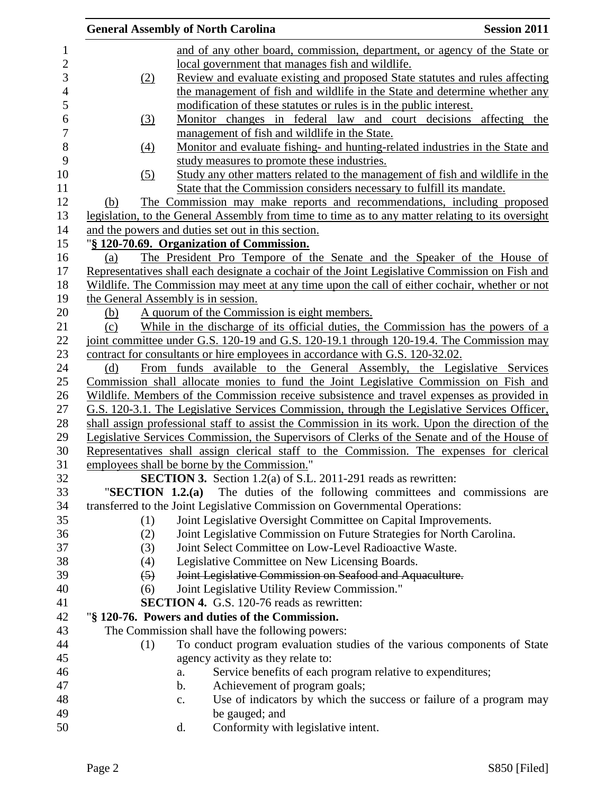|                  | <b>General Assembly of North Carolina</b>                                                         | <b>Session 2011</b> |
|------------------|---------------------------------------------------------------------------------------------------|---------------------|
|                  | and of any other board, commission, department, or agency of the State or                         |                     |
|                  | local government that manages fish and wildlife.                                                  |                     |
| (2)              | Review and evaluate existing and proposed State statutes and rules affecting                      |                     |
|                  | the management of fish and wildlife in the State and determine whether any                        |                     |
|                  | modification of these statutes or rules is in the public interest.                                |                     |
| (3)              | Monitor changes in federal law and court decisions affecting the                                  |                     |
|                  | management of fish and wildlife in the State.                                                     |                     |
| (4)              | Monitor and evaluate fishing- and hunting-related industries in the State and                     |                     |
|                  | study measures to promote these industries.                                                       |                     |
| (5)              | Study any other matters related to the management of fish and wildlife in the                     |                     |
|                  | State that the Commission considers necessary to fulfill its mandate.                             |                     |
| (b)              | The Commission may make reports and recommendations, including proposed                           |                     |
|                  | legislation, to the General Assembly from time to time as to any matter relating to its oversight |                     |
|                  | and the powers and duties set out in this section.                                                |                     |
|                  | "§ 120-70.69. Organization of Commission.                                                         |                     |
| (a)              | The President Pro Tempore of the Senate and the Speaker of the House of                           |                     |
|                  | Representatives shall each designate a cochair of the Joint Legislative Commission on Fish and    |                     |
|                  | Wildlife. The Commission may meet at any time upon the call of either cochair, whether or not     |                     |
|                  | the General Assembly is in session.                                                               |                     |
| (b)              | A quorum of the Commission is eight members.                                                      |                     |
| (c)              | While in the discharge of its official duties, the Commission has the powers of a                 |                     |
|                  | joint committee under G.S. 120-19 and G.S. 120-19.1 through 120-19.4. The Commission may          |                     |
|                  | contract for consultants or hire employees in accordance with G.S. 120-32.02.                     |                     |
| (d)              | From funds available to the General Assembly, the Legislative Services                            |                     |
|                  | Commission shall allocate monies to fund the Joint Legislative Commission on Fish and             |                     |
|                  | Wildlife. Members of the Commission receive subsistence and travel expenses as provided in        |                     |
|                  | G.S. 120-3.1. The Legislative Services Commission, through the Legislative Services Officer,      |                     |
|                  | shall assign professional staff to assist the Commission in its work. Upon the direction of the   |                     |
|                  | Legislative Services Commission, the Supervisors of Clerks of the Senate and of the House of      |                     |
|                  | Representatives shall assign clerical staff to the Commission. The expenses for clerical          |                     |
|                  | employees shall be borne by the Commission."                                                      |                     |
|                  | <b>SECTION 3.</b> Section 1.2(a) of S.L. 2011-291 reads as rewritten:                             |                     |
|                  | "SECTION 1.2.(a) The duties of the following committees and commissions are                       |                     |
|                  | transferred to the Joint Legislative Commission on Governmental Operations:                       |                     |
| (1)              | Joint Legislative Oversight Committee on Capital Improvements.                                    |                     |
| (2)              | Joint Legislative Commission on Future Strategies for North Carolina.                             |                     |
| (3)              | Joint Select Committee on Low-Level Radioactive Waste.                                            |                     |
| (4)              | Legislative Committee on New Licensing Boards.                                                    |                     |
| $\left(5\right)$ | Joint Legislative Commission on Seafood and Aquaculture.                                          |                     |
| (6)              | Joint Legislative Utility Review Commission."                                                     |                     |
|                  | <b>SECTION 4.</b> G.S. 120-76 reads as rewritten:                                                 |                     |
|                  | "§ 120-76. Powers and duties of the Commission.                                                   |                     |
|                  | The Commission shall have the following powers:                                                   |                     |
| (1)              | To conduct program evaluation studies of the various components of State                          |                     |
|                  | agency activity as they relate to:                                                                |                     |
|                  | Service benefits of each program relative to expenditures;<br>a.                                  |                     |
|                  | Achievement of program goals;<br>b.                                                               |                     |
|                  | Use of indicators by which the success or failure of a program may<br>c.                          |                     |
|                  | be gauged; and                                                                                    |                     |
|                  | Conformity with legislative intent.<br>d.                                                         |                     |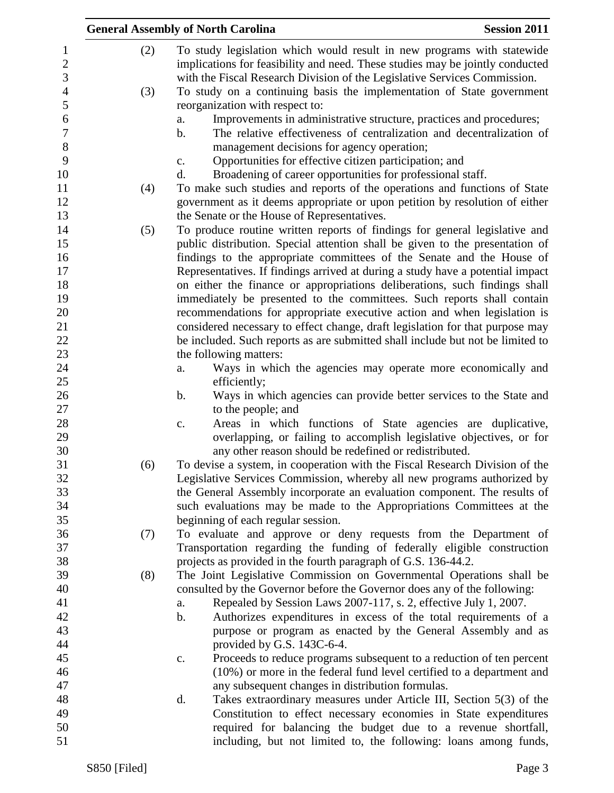|                       | <b>Session 2011</b><br><b>General Assembly of North Carolina</b>                                                                                                |
|-----------------------|-----------------------------------------------------------------------------------------------------------------------------------------------------------------|
| (2)<br>$\mathbf{1}$   | To study legislation which would result in new programs with statewide                                                                                          |
| $\mathbf{2}$          | implications for feasibility and need. These studies may be jointly conducted                                                                                   |
| 3                     | with the Fiscal Research Division of the Legislative Services Commission.                                                                                       |
| $\overline{4}$<br>(3) | To study on a continuing basis the implementation of State government                                                                                           |
| 5                     | reorganization with respect to:                                                                                                                                 |
| 6                     | Improvements in administrative structure, practices and procedures;<br>a.                                                                                       |
| $\overline{7}$        | The relative effectiveness of centralization and decentralization of<br>$\mathbf b$ .                                                                           |
| 8                     | management decisions for agency operation;                                                                                                                      |
| 9                     | Opportunities for effective citizen participation; and<br>c.                                                                                                    |
| 10                    | Broadening of career opportunities for professional staff.<br>d.                                                                                                |
| 11<br>(4)             | To make such studies and reports of the operations and functions of State                                                                                       |
| 12                    | government as it deems appropriate or upon petition by resolution of either                                                                                     |
| 13                    | the Senate or the House of Representatives.                                                                                                                     |
| 14<br>(5)             | To produce routine written reports of findings for general legislative and                                                                                      |
| 15                    | public distribution. Special attention shall be given to the presentation of                                                                                    |
| 16                    | findings to the appropriate committees of the Senate and the House of                                                                                           |
| 17                    | Representatives. If findings arrived at during a study have a potential impact                                                                                  |
| 18                    | on either the finance or appropriations deliberations, such findings shall                                                                                      |
| 19                    | immediately be presented to the committees. Such reports shall contain                                                                                          |
| 20<br>21              | recommendations for appropriate executive action and when legislation is                                                                                        |
| 22                    | considered necessary to effect change, draft legislation for that purpose may<br>be included. Such reports as are submitted shall include but not be limited to |
| 23                    | the following matters:                                                                                                                                          |
| 24                    | Ways in which the agencies may operate more economically and<br>a.                                                                                              |
| 25                    | efficiently;                                                                                                                                                    |
| 26                    | b.<br>Ways in which agencies can provide better services to the State and                                                                                       |
| 27                    | to the people; and                                                                                                                                              |
| 28                    | Areas in which functions of State agencies are duplicative,<br>c.                                                                                               |
| 29                    | overlapping, or failing to accomplish legislative objectives, or for                                                                                            |
| 30                    | any other reason should be redefined or redistributed.                                                                                                          |
| 31<br>(6)             | To devise a system, in cooperation with the Fiscal Research Division of the                                                                                     |
| 32                    | Legislative Services Commission, whereby all new programs authorized by                                                                                         |
| 33                    | the General Assembly incorporate an evaluation component. The results of                                                                                        |
| 34                    | such evaluations may be made to the Appropriations Committees at the                                                                                            |
| 35                    | beginning of each regular session.                                                                                                                              |
| 36<br>(7)             | To evaluate and approve or deny requests from the Department of                                                                                                 |
| 37                    | Transportation regarding the funding of federally eligible construction                                                                                         |
| 38                    | projects as provided in the fourth paragraph of G.S. 136-44.2.                                                                                                  |
| 39<br>(8)             | The Joint Legislative Commission on Governmental Operations shall be                                                                                            |
| 40                    | consulted by the Governor before the Governor does any of the following:                                                                                        |
| 41<br>42              | Repealed by Session Laws 2007-117, s. 2, effective July 1, 2007.<br>a.<br>$\mathbf b$ .                                                                         |
| 43                    | Authorizes expenditures in excess of the total requirements of a                                                                                                |
| 44                    | purpose or program as enacted by the General Assembly and as<br>provided by G.S. 143C-6-4.                                                                      |
| 45                    | Proceeds to reduce programs subsequent to a reduction of ten percent<br>c.                                                                                      |
| 46                    | (10%) or more in the federal fund level certified to a department and                                                                                           |
| 47                    | any subsequent changes in distribution formulas.                                                                                                                |
| 48                    | d.<br>Takes extraordinary measures under Article III, Section 5(3) of the                                                                                       |
| 49                    | Constitution to effect necessary economies in State expenditures                                                                                                |
| 50                    | required for balancing the budget due to a revenue shortfall,                                                                                                   |
| 51                    | including, but not limited to, the following: loans among funds,                                                                                                |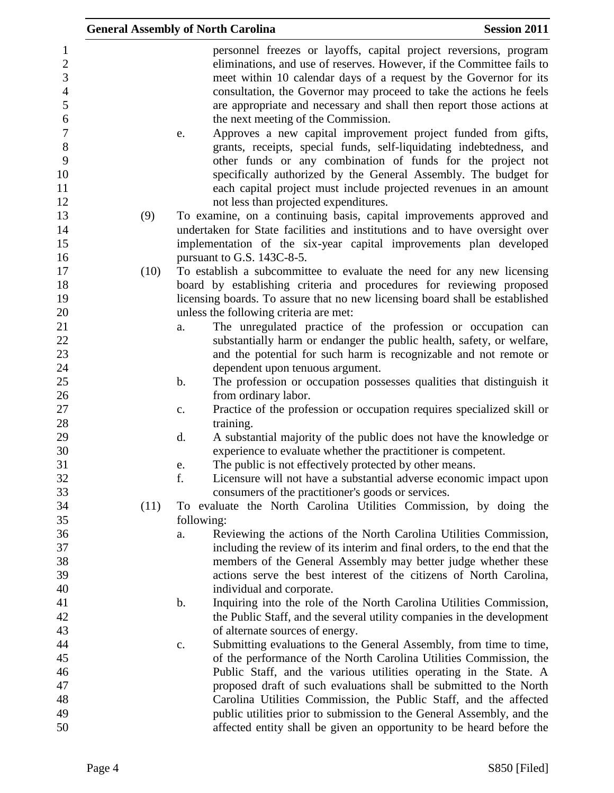|                                                                                                                            | <b>General Assembly of North Carolina</b> |                                                               | <b>Session 2011</b>                                                                                                                                                                                                                                                                                                                                                                                                                                                                                                                                                                                                                                                                                           |
|----------------------------------------------------------------------------------------------------------------------------|-------------------------------------------|---------------------------------------------------------------|---------------------------------------------------------------------------------------------------------------------------------------------------------------------------------------------------------------------------------------------------------------------------------------------------------------------------------------------------------------------------------------------------------------------------------------------------------------------------------------------------------------------------------------------------------------------------------------------------------------------------------------------------------------------------------------------------------------|
| $\mathbf{1}$<br>$\overline{2}$<br>3<br>$\overline{4}$<br>5<br>$\boldsymbol{6}$<br>$\overline{7}$<br>$8\,$<br>9<br>10<br>11 | e.                                        | the next meeting of the Commission.                           | personnel freezes or layoffs, capital project reversions, program<br>eliminations, and use of reserves. However, if the Committee fails to<br>meet within 10 calendar days of a request by the Governor for its<br>consultation, the Governor may proceed to take the actions he feels<br>are appropriate and necessary and shall then report those actions at<br>Approves a new capital improvement project funded from gifts,<br>grants, receipts, special funds, self-liquidating indebtedness, and<br>other funds or any combination of funds for the project not<br>specifically authorized by the General Assembly. The budget for<br>each capital project must include projected revenues in an amount |
| 12                                                                                                                         |                                           | not less than projected expenditures.                         |                                                                                                                                                                                                                                                                                                                                                                                                                                                                                                                                                                                                                                                                                                               |
| 13<br>14<br>15<br>16                                                                                                       | (9)                                       | pursuant to G.S. 143C-8-5.                                    | To examine, on a continuing basis, capital improvements approved and<br>undertaken for State facilities and institutions and to have oversight over<br>implementation of the six-year capital improvements plan developed                                                                                                                                                                                                                                                                                                                                                                                                                                                                                     |
| 17                                                                                                                         | (10)                                      |                                                               | To establish a subcommittee to evaluate the need for any new licensing                                                                                                                                                                                                                                                                                                                                                                                                                                                                                                                                                                                                                                        |
| 18                                                                                                                         |                                           |                                                               | board by establishing criteria and procedures for reviewing proposed                                                                                                                                                                                                                                                                                                                                                                                                                                                                                                                                                                                                                                          |
| 19                                                                                                                         |                                           |                                                               | licensing boards. To assure that no new licensing board shall be established                                                                                                                                                                                                                                                                                                                                                                                                                                                                                                                                                                                                                                  |
| 20                                                                                                                         |                                           | unless the following criteria are met:                        |                                                                                                                                                                                                                                                                                                                                                                                                                                                                                                                                                                                                                                                                                                               |
| 21                                                                                                                         | a.                                        |                                                               | The unregulated practice of the profession or occupation can                                                                                                                                                                                                                                                                                                                                                                                                                                                                                                                                                                                                                                                  |
| 22                                                                                                                         |                                           |                                                               | substantially harm or endanger the public health, safety, or welfare,                                                                                                                                                                                                                                                                                                                                                                                                                                                                                                                                                                                                                                         |
| 23                                                                                                                         |                                           |                                                               | and the potential for such harm is recognizable and not remote or                                                                                                                                                                                                                                                                                                                                                                                                                                                                                                                                                                                                                                             |
| 24                                                                                                                         |                                           | dependent upon tenuous argument.                              |                                                                                                                                                                                                                                                                                                                                                                                                                                                                                                                                                                                                                                                                                                               |
| 25                                                                                                                         | b.                                        |                                                               | The profession or occupation possesses qualities that distinguish it                                                                                                                                                                                                                                                                                                                                                                                                                                                                                                                                                                                                                                          |
| 26                                                                                                                         |                                           | from ordinary labor.                                          |                                                                                                                                                                                                                                                                                                                                                                                                                                                                                                                                                                                                                                                                                                               |
| 27                                                                                                                         | $\mathbf{c}$ .                            |                                                               | Practice of the profession or occupation requires specialized skill or                                                                                                                                                                                                                                                                                                                                                                                                                                                                                                                                                                                                                                        |
| 28                                                                                                                         |                                           | training.                                                     |                                                                                                                                                                                                                                                                                                                                                                                                                                                                                                                                                                                                                                                                                                               |
| 29                                                                                                                         | d.                                        |                                                               | A substantial majority of the public does not have the knowledge or                                                                                                                                                                                                                                                                                                                                                                                                                                                                                                                                                                                                                                           |
| 30                                                                                                                         |                                           | experience to evaluate whether the practitioner is competent. |                                                                                                                                                                                                                                                                                                                                                                                                                                                                                                                                                                                                                                                                                                               |
| 31                                                                                                                         | e.                                        | The public is not effectively protected by other means.       |                                                                                                                                                                                                                                                                                                                                                                                                                                                                                                                                                                                                                                                                                                               |
| 32                                                                                                                         | f.                                        |                                                               | Licensure will not have a substantial adverse economic impact upon                                                                                                                                                                                                                                                                                                                                                                                                                                                                                                                                                                                                                                            |
| 33                                                                                                                         |                                           | consumers of the practitioner's goods or services.            |                                                                                                                                                                                                                                                                                                                                                                                                                                                                                                                                                                                                                                                                                                               |
| 34                                                                                                                         | (11)                                      |                                                               | To evaluate the North Carolina Utilities Commission, by doing the                                                                                                                                                                                                                                                                                                                                                                                                                                                                                                                                                                                                                                             |
| 35                                                                                                                         |                                           | following:                                                    |                                                                                                                                                                                                                                                                                                                                                                                                                                                                                                                                                                                                                                                                                                               |
| 36                                                                                                                         | a.                                        |                                                               | Reviewing the actions of the North Carolina Utilities Commission,                                                                                                                                                                                                                                                                                                                                                                                                                                                                                                                                                                                                                                             |
| 37                                                                                                                         |                                           |                                                               | including the review of its interim and final orders, to the end that the                                                                                                                                                                                                                                                                                                                                                                                                                                                                                                                                                                                                                                     |
| 38                                                                                                                         |                                           |                                                               | members of the General Assembly may better judge whether these                                                                                                                                                                                                                                                                                                                                                                                                                                                                                                                                                                                                                                                |
| 39                                                                                                                         |                                           |                                                               | actions serve the best interest of the citizens of North Carolina,                                                                                                                                                                                                                                                                                                                                                                                                                                                                                                                                                                                                                                            |
| 40                                                                                                                         |                                           | individual and corporate.                                     |                                                                                                                                                                                                                                                                                                                                                                                                                                                                                                                                                                                                                                                                                                               |
| 41                                                                                                                         | b.                                        |                                                               | Inquiring into the role of the North Carolina Utilities Commission,                                                                                                                                                                                                                                                                                                                                                                                                                                                                                                                                                                                                                                           |
| 42                                                                                                                         |                                           |                                                               | the Public Staff, and the several utility companies in the development                                                                                                                                                                                                                                                                                                                                                                                                                                                                                                                                                                                                                                        |
| 43                                                                                                                         |                                           | of alternate sources of energy.                               |                                                                                                                                                                                                                                                                                                                                                                                                                                                                                                                                                                                                                                                                                                               |
| 44                                                                                                                         | c.                                        |                                                               | Submitting evaluations to the General Assembly, from time to time,                                                                                                                                                                                                                                                                                                                                                                                                                                                                                                                                                                                                                                            |
| 45                                                                                                                         |                                           |                                                               | of the performance of the North Carolina Utilities Commission, the                                                                                                                                                                                                                                                                                                                                                                                                                                                                                                                                                                                                                                            |
| $46\,$                                                                                                                     |                                           |                                                               | Public Staff, and the various utilities operating in the State. A                                                                                                                                                                                                                                                                                                                                                                                                                                                                                                                                                                                                                                             |
| 47                                                                                                                         |                                           |                                                               | proposed draft of such evaluations shall be submitted to the North                                                                                                                                                                                                                                                                                                                                                                                                                                                                                                                                                                                                                                            |
| 48                                                                                                                         |                                           |                                                               | Carolina Utilities Commission, the Public Staff, and the affected                                                                                                                                                                                                                                                                                                                                                                                                                                                                                                                                                                                                                                             |
| 49<br>50                                                                                                                   |                                           |                                                               | public utilities prior to submission to the General Assembly, and the<br>affected entity shall be given an opportunity to be heard before the                                                                                                                                                                                                                                                                                                                                                                                                                                                                                                                                                                 |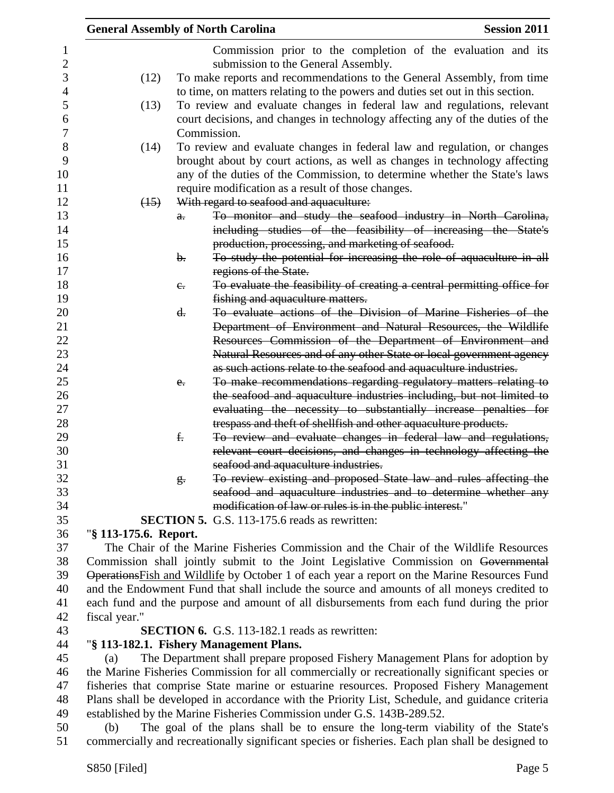|                | <b>General Assembly of North Carolina</b> |                |                                                                        | <b>Session 2011</b>                                                                            |
|----------------|-------------------------------------------|----------------|------------------------------------------------------------------------|------------------------------------------------------------------------------------------------|
| 1              |                                           |                |                                                                        | Commission prior to the completion of the evaluation and its                                   |
| $\overline{c}$ |                                           |                | submission to the General Assembly.                                    |                                                                                                |
| 3              | (12)                                      |                |                                                                        | To make reports and recommendations to the General Assembly, from time                         |
| $\overline{4}$ |                                           |                |                                                                        | to time, on matters relating to the powers and duties set out in this section.                 |
| 5              | (13)                                      |                |                                                                        | To review and evaluate changes in federal law and regulations, relevant                        |
| 6              |                                           |                |                                                                        | court decisions, and changes in technology affecting any of the duties of the                  |
| 7              |                                           |                | Commission.                                                            |                                                                                                |
| 8              | (14)                                      |                |                                                                        | To review and evaluate changes in federal law and regulation, or changes                       |
| 9              |                                           |                |                                                                        | brought about by court actions, as well as changes in technology affecting                     |
| 10             |                                           |                |                                                                        | any of the duties of the Commission, to determine whether the State's laws                     |
| 11             |                                           |                | require modification as a result of those changes.                     |                                                                                                |
| 12             | (15)                                      |                | With regard to seafood and aquaculture:                                |                                                                                                |
| 13             |                                           | $\theta$ .     |                                                                        | To monitor and study the seafood industry in North Carolina,                                   |
| 14             |                                           |                |                                                                        | including studies of the feasibility of increasing the State's                                 |
| 15             |                                           |                | production, processing, and marketing of seafood.                      |                                                                                                |
| 16             |                                           | $\mathbf{b}$ . |                                                                        | To study the potential for increasing the role of aquaculture in all                           |
| 17             |                                           |                | regions of the State.                                                  |                                                                                                |
| 18             |                                           | $e_{\cdot}$    |                                                                        | To evaluate the feasibility of creating a central permitting office for                        |
| 19             |                                           |                | fishing and aquaculture matters.                                       |                                                                                                |
| 20             |                                           | d.             |                                                                        | To evaluate actions of the Division of Marine Fisheries of the                                 |
| 21             |                                           |                |                                                                        | Department of Environment and Natural Resources, the Wildlife                                  |
| 22             |                                           |                |                                                                        | Resources Commission of the Department of Environment and                                      |
| 23             |                                           |                |                                                                        | Natural Resources and of any other State or local government agency                            |
| 24             |                                           |                |                                                                        | as such actions relate to the seafood and aquaculture industries.                              |
| 25             |                                           | $e_{i}$        |                                                                        | To make recommendations regarding regulatory matters relating to                               |
| 26             |                                           |                |                                                                        | the seafood and aquaculture industries including, but not limited to                           |
| 27             |                                           |                |                                                                        | evaluating the necessity to substantially increase penalties for                               |
| 28             |                                           |                | trespass and theft of shellfish and other aquaculture products.        |                                                                                                |
| 29             |                                           | f.             |                                                                        | To review and evaluate changes in federal law and regulations,                                 |
| 30             |                                           |                |                                                                        | relevant court decisions, and changes in technology affecting the                              |
| 31             |                                           |                | seafood and aquaculture industries.                                    |                                                                                                |
| 32             |                                           | g <sub>r</sub> |                                                                        | To review existing and proposed State law and rules affecting the                              |
| 33             |                                           |                |                                                                        | seafood and aquaculture industries and to determine whether any                                |
| 34             |                                           |                | modification of law or rules is in the public interest."               |                                                                                                |
| 35             |                                           |                | <b>SECTION 5.</b> G.S. 113-175.6 reads as rewritten:                   |                                                                                                |
| 36             | "§ 113-175.6. Report.                     |                |                                                                        |                                                                                                |
| 37             |                                           |                |                                                                        | The Chair of the Marine Fisheries Commission and the Chair of the Wildlife Resources           |
| 38             |                                           |                |                                                                        | Commission shall jointly submit to the Joint Legislative Commission on Governmental            |
| 39             |                                           |                |                                                                        | Operations Fish and Wildlife by October 1 of each year a report on the Marine Resources Fund   |
| 40             |                                           |                |                                                                        | and the Endowment Fund that shall include the source and amounts of all moneys credited to     |
| 41             |                                           |                |                                                                        | each fund and the purpose and amount of all disbursements from each fund during the prior      |
| 42             | fiscal year."                             |                |                                                                        |                                                                                                |
| 43             |                                           |                | <b>SECTION 6.</b> G.S. 113-182.1 reads as rewritten:                   |                                                                                                |
| 44             |                                           |                | "§ 113-182.1. Fishery Management Plans.                                |                                                                                                |
| 45             | (a)                                       |                |                                                                        | The Department shall prepare proposed Fishery Management Plans for adoption by                 |
| 46             |                                           |                |                                                                        | the Marine Fisheries Commission for all commercially or recreationally significant species or  |
| 47             |                                           |                |                                                                        | fisheries that comprise State marine or estuarine resources. Proposed Fishery Management       |
| 48             |                                           |                |                                                                        | Plans shall be developed in accordance with the Priority List, Schedule, and guidance criteria |
| 49             |                                           |                | established by the Marine Fisheries Commission under G.S. 143B-289.52. |                                                                                                |
| 50             | (b)                                       |                |                                                                        | The goal of the plans shall be to ensure the long-term viability of the State's                |

commercially and recreationally significant species or fisheries. Each plan shall be designed to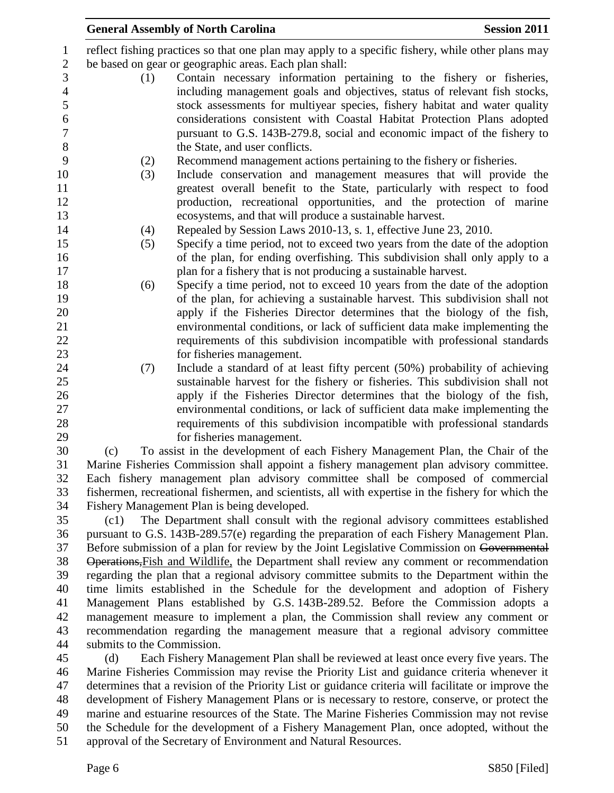| $\mathbf{1}$   |                                                                                                                  | reflect fishing practices so that one plan may apply to a specific fishery, while other plans may   |  |  |
|----------------|------------------------------------------------------------------------------------------------------------------|-----------------------------------------------------------------------------------------------------|--|--|
| $\overline{2}$ |                                                                                                                  | be based on gear or geographic areas. Each plan shall:                                              |  |  |
| 3              | (1)                                                                                                              | Contain necessary information pertaining to the fishery or fisheries,                               |  |  |
| $\overline{4}$ |                                                                                                                  | including management goals and objectives, status of relevant fish stocks,                          |  |  |
| 5              |                                                                                                                  | stock assessments for multiyear species, fishery habitat and water quality                          |  |  |
| 6              |                                                                                                                  | considerations consistent with Coastal Habitat Protection Plans adopted                             |  |  |
| $\overline{7}$ |                                                                                                                  | pursuant to G.S. 143B-279.8, social and economic impact of the fishery to                           |  |  |
| 8              |                                                                                                                  | the State, and user conflicts.                                                                      |  |  |
| 9              | (2)                                                                                                              | Recommend management actions pertaining to the fishery or fisheries.                                |  |  |
| 10             | (3)                                                                                                              | Include conservation and management measures that will provide the                                  |  |  |
| 11             |                                                                                                                  | greatest overall benefit to the State, particularly with respect to food                            |  |  |
|                |                                                                                                                  |                                                                                                     |  |  |
| 12             |                                                                                                                  | production, recreational opportunities, and the protection of marine                                |  |  |
| 13             |                                                                                                                  | ecosystems, and that will produce a sustainable harvest.                                            |  |  |
| 14             | (4)                                                                                                              | Repealed by Session Laws 2010-13, s. 1, effective June 23, 2010.                                    |  |  |
| 15             | (5)                                                                                                              | Specify a time period, not to exceed two years from the date of the adoption                        |  |  |
| 16             |                                                                                                                  | of the plan, for ending overfishing. This subdivision shall only apply to a                         |  |  |
| 17             |                                                                                                                  | plan for a fishery that is not producing a sustainable harvest.                                     |  |  |
| 18             | (6)                                                                                                              | Specify a time period, not to exceed 10 years from the date of the adoption                         |  |  |
| 19             |                                                                                                                  | of the plan, for achieving a sustainable harvest. This subdivision shall not                        |  |  |
| 20             |                                                                                                                  | apply if the Fisheries Director determines that the biology of the fish,                            |  |  |
| 21             |                                                                                                                  | environmental conditions, or lack of sufficient data make implementing the                          |  |  |
| 22             |                                                                                                                  | requirements of this subdivision incompatible with professional standards                           |  |  |
| 23             |                                                                                                                  | for fisheries management.                                                                           |  |  |
| 24             | (7)                                                                                                              | Include a standard of at least fifty percent (50%) probability of achieving                         |  |  |
| 25             |                                                                                                                  | sustainable harvest for the fishery or fisheries. This subdivision shall not                        |  |  |
| 26             |                                                                                                                  | apply if the Fisheries Director determines that the biology of the fish,                            |  |  |
| 27             |                                                                                                                  | environmental conditions, or lack of sufficient data make implementing the                          |  |  |
| 28             |                                                                                                                  | requirements of this subdivision incompatible with professional standards                           |  |  |
| 29             |                                                                                                                  | for fisheries management.                                                                           |  |  |
| 30             | (c)                                                                                                              | To assist in the development of each Fishery Management Plan, the Chair of the                      |  |  |
| 31             |                                                                                                                  | Marine Fisheries Commission shall appoint a fishery management plan advisory committee.             |  |  |
| 32             |                                                                                                                  | Each fishery management plan advisory committee shall be composed of commercial                     |  |  |
| 33             |                                                                                                                  | fishermen, recreational fishermen, and scientists, all with expertise in the fishery for which the  |  |  |
| 34             |                                                                                                                  | Fishery Management Plan is being developed.                                                         |  |  |
| 35             | (c1)                                                                                                             | The Department shall consult with the regional advisory committees established                      |  |  |
| 36             |                                                                                                                  | pursuant to G.S. 143B-289.57(e) regarding the preparation of each Fishery Management Plan.          |  |  |
| 37             |                                                                                                                  | Before submission of a plan for review by the Joint Legislative Commission on Governmental          |  |  |
| 38             |                                                                                                                  | Operations, Fish and Wildlife, the Department shall review any comment or recommendation            |  |  |
| 39             |                                                                                                                  | regarding the plan that a regional advisory committee submits to the Department within the          |  |  |
| 40             |                                                                                                                  | time limits established in the Schedule for the development and adoption of Fishery                 |  |  |
| 41             |                                                                                                                  | Management Plans established by G.S. 143B-289.52. Before the Commission adopts a                    |  |  |
| 42             |                                                                                                                  | management measure to implement a plan, the Commission shall review any comment or                  |  |  |
| 43             |                                                                                                                  |                                                                                                     |  |  |
|                | recommendation regarding the management measure that a regional advisory committee<br>submits to the Commission. |                                                                                                     |  |  |
| 44<br>45       |                                                                                                                  |                                                                                                     |  |  |
|                | (d)                                                                                                              | Each Fishery Management Plan shall be reviewed at least once every five years. The                  |  |  |
| 46             |                                                                                                                  | Marine Fisheries Commission may revise the Priority List and guidance criteria whenever it          |  |  |
| 47             |                                                                                                                  | determines that a revision of the Priority List or guidance criteria will facilitate or improve the |  |  |
| 48             |                                                                                                                  | development of Fishery Management Plans or is necessary to restore, conserve, or protect the        |  |  |
| 49             |                                                                                                                  | marine and estuarine resources of the State. The Marine Fisheries Commission may not revise         |  |  |
| 50             |                                                                                                                  | the Schedule for the development of a Fishery Management Plan, once adopted, without the            |  |  |
| 51             |                                                                                                                  | approval of the Secretary of Environment and Natural Resources.                                     |  |  |
|                | Page 6                                                                                                           | S850 [Filed]                                                                                        |  |  |
|                |                                                                                                                  |                                                                                                     |  |  |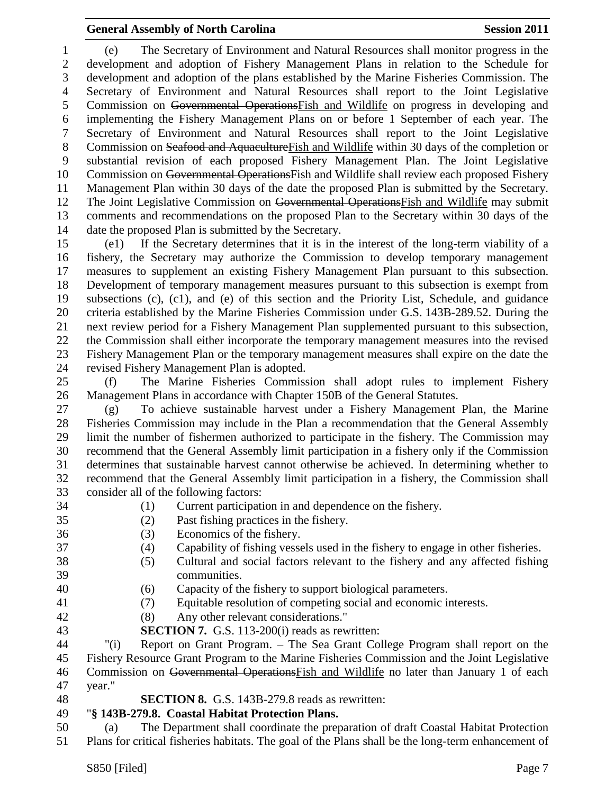(e) The Secretary of Environment and Natural Resources shall monitor progress in the development and adoption of Fishery Management Plans in relation to the Schedule for development and adoption of the plans established by the Marine Fisheries Commission. The Secretary of Environment and Natural Resources shall report to the Joint Legislative Commission on Governmental OperationsFish and Wildlife on progress in developing and implementing the Fishery Management Plans on or before 1 September of each year. The Secretary of Environment and Natural Resources shall report to the Joint Legislative Commission on Seafood and AquacultureFish and Wildlife within 30 days of the completion or substantial revision of each proposed Fishery Management Plan. The Joint Legislative 10 Commission on Governmental Operations Fish and Wildlife shall review each proposed Fishery Management Plan within 30 days of the date the proposed Plan is submitted by the Secretary. The Joint Legislative Commission on Governmental OperationsFish and Wildlife may submit comments and recommendations on the proposed Plan to the Secretary within 30 days of the date the proposed Plan is submitted by the Secretary.

 (e1) If the Secretary determines that it is in the interest of the long-term viability of a fishery, the Secretary may authorize the Commission to develop temporary management measures to supplement an existing Fishery Management Plan pursuant to this subsection. Development of temporary management measures pursuant to this subsection is exempt from subsections (c), (c1), and (e) of this section and the Priority List, Schedule, and guidance criteria established by the Marine Fisheries Commission under G.S. 143B-289.52. During the next review period for a Fishery Management Plan supplemented pursuant to this subsection, the Commission shall either incorporate the temporary management measures into the revised Fishery Management Plan or the temporary management measures shall expire on the date the revised Fishery Management Plan is adopted.

 (f) The Marine Fisheries Commission shall adopt rules to implement Fishery Management Plans in accordance with Chapter 150B of the General Statutes.

 (g) To achieve sustainable harvest under a Fishery Management Plan, the Marine Fisheries Commission may include in the Plan a recommendation that the General Assembly limit the number of fishermen authorized to participate in the fishery. The Commission may recommend that the General Assembly limit participation in a fishery only if the Commission determines that sustainable harvest cannot otherwise be achieved. In determining whether to recommend that the General Assembly limit participation in a fishery, the Commission shall consider all of the following factors:

- 
- (1) Current participation in and dependence on the fishery.
- 
- (2) Past fishing practices in the fishery.
- (3) Economics of the fishery.
- (4) Capability of fishing vessels used in the fishery to engage in other fisheries.
- (5) Cultural and social factors relevant to the fishery and any affected fishing communities.
- (6) Capacity of the fishery to support biological parameters.
- (7) Equitable resolution of competing social and economic interests.
- (8) Any other relevant considerations."
- **SECTION 7.** G.S. 113-200(i) reads as rewritten:

 "(i) Report on Grant Program. – The Sea Grant College Program shall report on the Fishery Resource Grant Program to the Marine Fisheries Commission and the Joint Legislative Commission on Governmental OperationsFish and Wildlife no later than January 1 of each year."

- 
- **SECTION 8.** G.S. 143B-279.8 reads as rewritten:

#### "**§ 143B-279.8. Coastal Habitat Protection Plans.**

 (a) The Department shall coordinate the preparation of draft Coastal Habitat Protection Plans for critical fisheries habitats. The goal of the Plans shall be the long-term enhancement of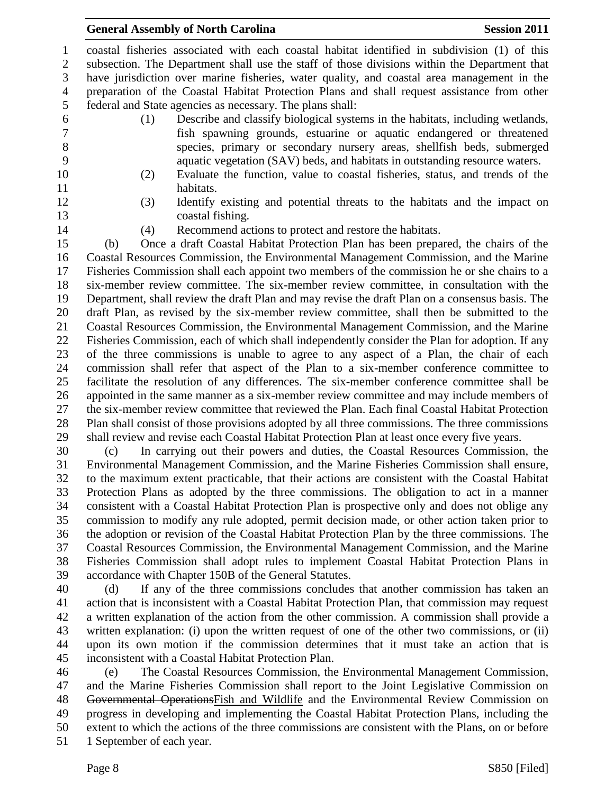coastal fisheries associated with each coastal habitat identified in subdivision (1) of this subsection. The Department shall use the staff of those divisions within the Department that have jurisdiction over marine fisheries, water quality, and coastal area management in the preparation of the Coastal Habitat Protection Plans and shall request assistance from other federal and State agencies as necessary. The plans shall:

- 
- (1) Describe and classify biological systems in the habitats, including wetlands, fish spawning grounds, estuarine or aquatic endangered or threatened species, primary or secondary nursery areas, shellfish beds, submerged aquatic vegetation (SAV) beds, and habitats in outstanding resource waters.
- 
- 
- (2) Evaluate the function, value to coastal fisheries, status, and trends of the 11 habitats.
- (3) Identify existing and potential threats to the habitats and the impact on coastal fishing.
- 

(4) Recommend actions to protect and restore the habitats.

 (b) Once a draft Coastal Habitat Protection Plan has been prepared, the chairs of the Coastal Resources Commission, the Environmental Management Commission, and the Marine Fisheries Commission shall each appoint two members of the commission he or she chairs to a six-member review committee. The six-member review committee, in consultation with the Department, shall review the draft Plan and may revise the draft Plan on a consensus basis. The draft Plan, as revised by the six-member review committee, shall then be submitted to the Coastal Resources Commission, the Environmental Management Commission, and the Marine Fisheries Commission, each of which shall independently consider the Plan for adoption. If any of the three commissions is unable to agree to any aspect of a Plan, the chair of each commission shall refer that aspect of the Plan to a six-member conference committee to facilitate the resolution of any differences. The six-member conference committee shall be appointed in the same manner as a six-member review committee and may include members of the six-member review committee that reviewed the Plan. Each final Coastal Habitat Protection Plan shall consist of those provisions adopted by all three commissions. The three commissions shall review and revise each Coastal Habitat Protection Plan at least once every five years.

 (c) In carrying out their powers and duties, the Coastal Resources Commission, the Environmental Management Commission, and the Marine Fisheries Commission shall ensure, to the maximum extent practicable, that their actions are consistent with the Coastal Habitat Protection Plans as adopted by the three commissions. The obligation to act in a manner consistent with a Coastal Habitat Protection Plan is prospective only and does not oblige any commission to modify any rule adopted, permit decision made, or other action taken prior to the adoption or revision of the Coastal Habitat Protection Plan by the three commissions. The Coastal Resources Commission, the Environmental Management Commission, and the Marine Fisheries Commission shall adopt rules to implement Coastal Habitat Protection Plans in accordance with Chapter 150B of the General Statutes.

 (d) If any of the three commissions concludes that another commission has taken an action that is inconsistent with a Coastal Habitat Protection Plan, that commission may request a written explanation of the action from the other commission. A commission shall provide a written explanation: (i) upon the written request of one of the other two commissions, or (ii) upon its own motion if the commission determines that it must take an action that is inconsistent with a Coastal Habitat Protection Plan.

 (e) The Coastal Resources Commission, the Environmental Management Commission, and the Marine Fisheries Commission shall report to the Joint Legislative Commission on Governmental OperationsFish and Wildlife and the Environmental Review Commission on progress in developing and implementing the Coastal Habitat Protection Plans, including the extent to which the actions of the three commissions are consistent with the Plans, on or before 1 September of each year.